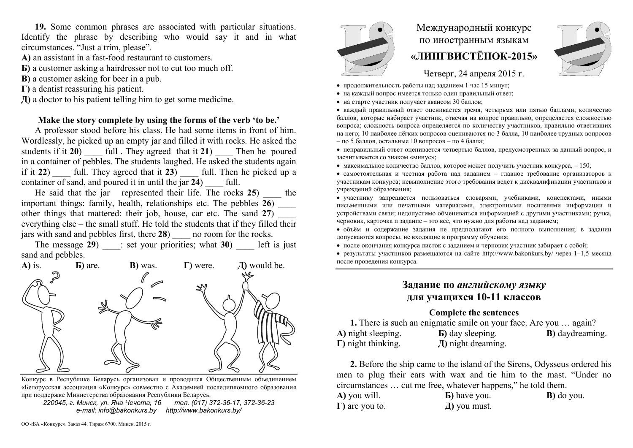**19.** Some common phrases are associated with particular situations. Identify the phrase by describing who would say it and in what circumstances. "Just a trim, please".

- **А)** an assistant in a fast-food restaurant to customers.
- **Б)** a customer asking a hairdresser not to cut too much off.
- **В)** a customer asking for beer in a pub.
- **Г)** a dentist reassuring his patient.
- **Д)** a doctor to his patient telling him to get some medicine.

### **Make the story complete by using the forms of the verb 'to be.'**

A professor stood before his class. He had some items in front of him. Wordlessly, he picked up an empty jar and filled it with rocks. He asked the students if it **20**)  $\qquad$  full . They agreed that it **21**) Then he poured in a container of pebbles. The students laughed. He asked the students again if it **22**) full. They agreed that it **23**) full. Then he picked up a container of sand, and poured it in until the jar 24) full.

He said that the jar represented their life. The rocks 25) the important things: family, health, relationships etc. The pebbles **26**) \_\_\_\_ other things that mattered: their job, house, car etc. The sand **27**) \_\_\_\_ everything else – the small stuff. He told the students that if they filled their jars with sand and pebbles first, there **28**) are no room for the rocks.

The message **29**) \_\_\_\_: set your priorities; what **30**) \_\_\_\_ left is just sand and pebbles.



Конкурс <sup>в</sup> Республике Беларусь организован <sup>и</sup> проводится Общественным объединением «Белорусская ассоциация «Конкурс» совместно <sup>с</sup> Академией последипломного образования при поддержке Министерства образования Республики Беларусь.

*220045, <sup>г</sup>. Минск, ул. Яна Чечота, 16 тел. (017) 372-36-17, 372-36-23 e-mail: info@bakonkurs.by http://www.bakonkurs.by/* 



# Международный конкурс по иностранным языкам **«ЛИНГВИСТЁНОК-2015»**

Четверг, 24 апреля 2015 г.

- продолжительность работы над заданием 1 час 15 минут;
- на каждый вопрос имеется только один правильный ответ;
- на старте участник получает авансом 30 баллов;

 каждый правильный ответ оценивается тремя, четырьмя или пятью баллами; количество баллов, которые набирает участник, отвечая на вопрос правильно, определяется сложностью вопроса; сложность вопроса определяется по количеству участников, правильно ответивших на него; 10 наиболее лёгких вопросов оцениваются по 3 балла, 10 наиболее трудных вопросов – по 5 баллов, остальные 10 вопросов – по 4 балла;

 неправильный ответ оценивается четвертью баллов, предусмотренных за данный вопрос, <sup>и</sup> засчитывается со знаком «минус»;

• максимальное количество баллов, которое может получить участник конкурса,  $-150$ ;

 самостоятельная и честная работа над заданием – главное требование организаторов <sup>к</sup> участникам конкурса; невыполнение этого требования ведет <sup>к</sup> дисквалификации участников <sup>и</sup> учреждений образования;

 участнику запрещается пользоваться словарями, учебниками, конспектами, иными письменными или печатными материалами, электронными носителями информации <sup>и</sup> устройствами связи; недопустимо обмениваться информацией <sup>с</sup> другими участниками; ручка, черновик, карточка <sup>и</sup> задание – это всё, что нужно для работы над заданием;

 объём <sup>и</sup> содержание задания не предполагают его полного выполнения; <sup>в</sup> задании допускаются вопросы, не входящие <sup>в</sup> программу обучения;

после окончания конкурса листок <sup>с</sup> заданием <sup>и</sup> черновик участник забирает <sup>с</sup> собой;

 результаты участников размещаются на сайте http://www.bakonkurs.by/ через 1–1,5 месяца после проведения конкурса.

## **Задание по** *английскому языку* **для учащихся 10-11 классов**

### **Complete the sentences**

**1.** There is such an enigmatic smile on your face. Are you … again? **А)** night sleeping. **Б)** day sleeping. **В)** daydreaming. **Г)** night thinking. **Д)** night dreaming.

**2.** Before the ship came to the island of the Sirens, Odysseus ordered his men to plug their ears with wax and tie him to the mast. "Under no circumstances … cut me free, whatever happens," he told them.

| A) you will.           | <b>b</b> ) have you. | <b>B</b> ) do you. |
|------------------------|----------------------|--------------------|
| $\Gamma$ ) are you to. | $\mu$ ) you must.    |                    |